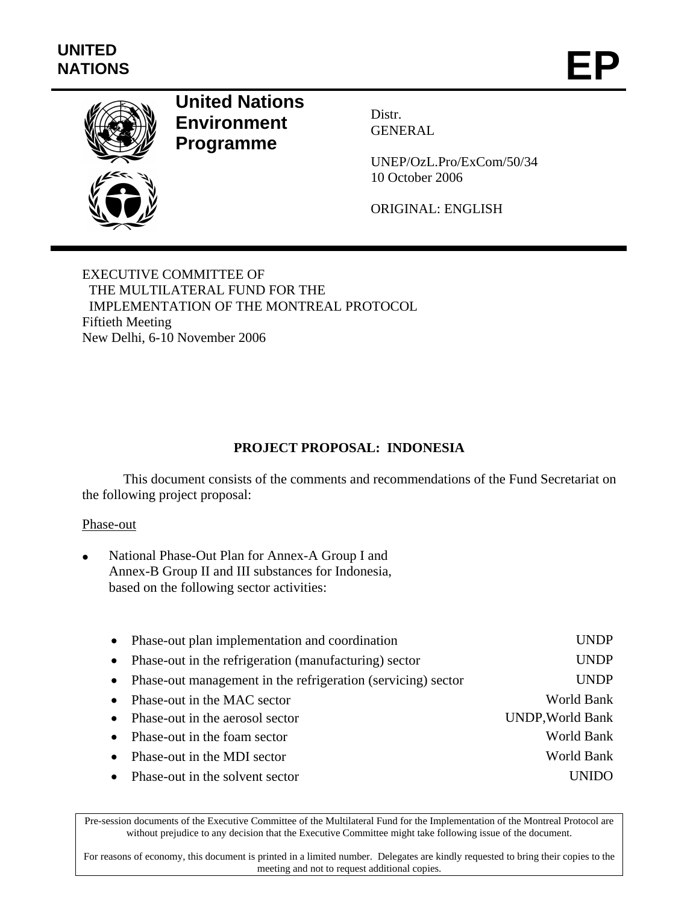

# **United Nations Environment Programme**

Distr. GENERAL

UNEP/OzL.Pro/ExCom/50/34 10 October 2006

ORIGINAL: ENGLISH

EXECUTIVE COMMITTEE OF THE MULTILATERAL FUND FOR THE IMPLEMENTATION OF THE MONTREAL PROTOCOL Fiftieth Meeting New Delhi, 6-10 November 2006

# **PROJECT PROPOSAL: INDONESIA**

This document consists of the comments and recommendations of the Fund Secretariat on the following project proposal:

### Phase-out

• National Phase-Out Plan for Annex-A Group I and Annex-B Group II and III substances for Indonesia, based on the following sector activities:

| $\bullet$ | Phase-out plan implementation and coordination                 | <b>UNDP</b>             |
|-----------|----------------------------------------------------------------|-------------------------|
| $\bullet$ | Phase-out in the refrigeration (manufacturing) sector          | <b>UNDP</b>             |
|           | • Phase-out management in the refrigeration (servicing) sector | <b>UNDP</b>             |
| $\bullet$ | Phase-out in the MAC sector                                    | World Bank              |
| $\bullet$ | Phase-out in the aerosol sector                                | <b>UNDP, World Bank</b> |
| $\bullet$ | Phase-out in the foam sector                                   | World Bank              |
| $\bullet$ | Phase-out in the MDI sector                                    | World Bank              |
| $\bullet$ | Phase-out in the solvent sector                                |                         |

Pre-session documents of the Executive Committee of the Multilateral Fund for the Implementation of the Montreal Protocol are without prejudice to any decision that the Executive Committee might take following issue of the document.

For reasons of economy, this document is printed in a limited number. Delegates are kindly requested to bring their copies to the meeting and not to request additional copies.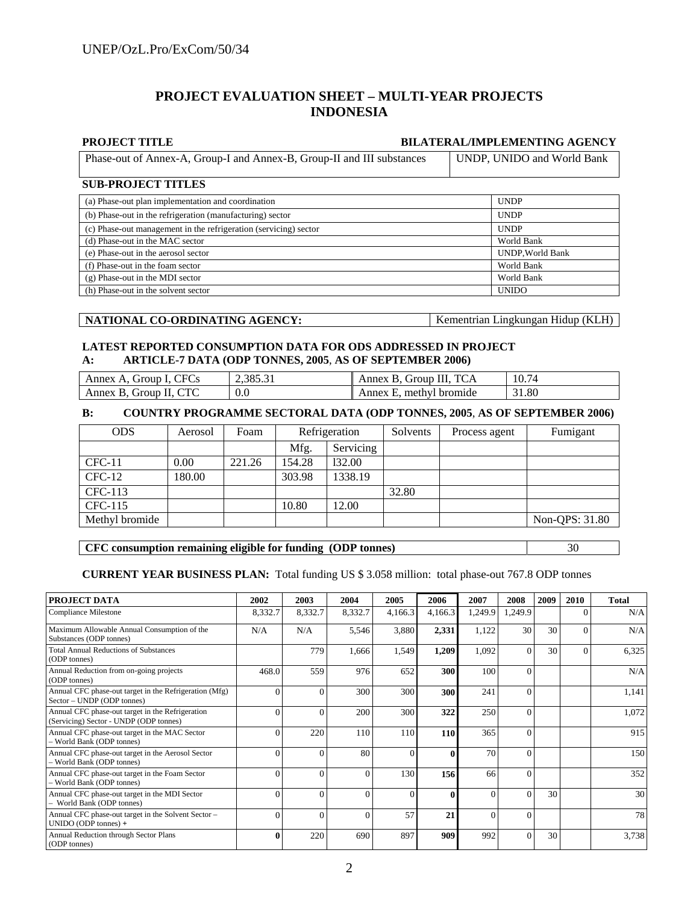## **PROJECT EVALUATION SHEET – MULTI-YEAR PROJECTS INDONESIA**

### **PROJECT TITLE BILATERAL/IMPLEMENTING AGENCY**

|  | Phase-out of Annex-A, Group-I and Annex-B, Group-II and III substances | UNDP, UNIDO and World Bank |
|--|------------------------------------------------------------------------|----------------------------|
|--|------------------------------------------------------------------------|----------------------------|

### **SUB-PROJECT TITLES**

| (a) Phase-out plan implementation and coordination               | <b>UNDP</b>             |  |  |  |
|------------------------------------------------------------------|-------------------------|--|--|--|
| (b) Phase-out in the refrigeration (manufacturing) sector        | <b>UNDP</b>             |  |  |  |
| (c) Phase-out management in the refrigeration (servicing) sector | <b>UNDP</b>             |  |  |  |
| (d) Phase-out in the MAC sector                                  | World Bank              |  |  |  |
| (e) Phase-out in the aerosol sector                              | <b>UNDP, World Bank</b> |  |  |  |
| (f) Phase-out in the foam sector                                 | World Bank              |  |  |  |
| $(g)$ Phase-out in the MDI sector                                | World Bank              |  |  |  |
| (h) Phase-out in the solvent sector                              | <b>UNIDO</b>            |  |  |  |

| NATIONAL CO-ORDINATING AGENCY: | Kementrian Lingkungan Hidup (KLH) |
|--------------------------------|-----------------------------------|
|                                |                                   |

### **LATEST REPORTED CONSUMPTION DATA FOR ODS ADDRESSED IN PROJECT A: ARTICLE-7 DATA (ODP TONNES, 2005**, **AS OF SEPTEMBER 2006)**

| Annex A, Group I, CFCs | 2,385.31 | Annex B. Group III. TCA | 10.74 |
|------------------------|----------|-------------------------|-------|
| Annex B, Group II, CTC | 0.0      | Annex E, methyl bromide | 31.80 |

### **B: COUNTRY PROGRAMME SECTORAL DATA (ODP TONNES, 2005**, **AS OF SEPTEMBER 2006)**

| <b>ODS</b>     | Aerosol | Foam   | Refrigeration |           | Solvents<br>Process agent |  | Fumigant       |  |
|----------------|---------|--------|---------------|-----------|---------------------------|--|----------------|--|
|                |         |        | Mfg.          | Servicing |                           |  |                |  |
| $CFC-11$       | 0.00    | 221.26 | 154.28        | 132.00    |                           |  |                |  |
| $CFC-12$       | 180.00  |        | 303.98        | 1338.19   |                           |  |                |  |
| CFC-113        |         |        |               |           | 32.80                     |  |                |  |
| CFC-115        |         |        | 10.80         | 12.00     |                           |  |                |  |
| Methyl bromide |         |        |               |           |                           |  | Non-QPS: 31.80 |  |

### **CFC consumption remaining eligible for funding (ODP tonnes)** 30

### **CURRENT YEAR BUSINESS PLAN:** Total funding US \$ 3.058 million: total phase-out 767.8 ODP tonnes

| PROJECT DATA                                                                               | 2002    | 2003     | 2004     | 2005     | 2006     | 2007     | 2008           | 2009 | <b>2010</b> | <b>Total</b> |
|--------------------------------------------------------------------------------------------|---------|----------|----------|----------|----------|----------|----------------|------|-------------|--------------|
| <b>Compliance Milestone</b>                                                                | 8,332.7 | 8,332.7  | 8,332.7  | 4,166.3  | 4,166.3  | 1,249.9  | 1,249.9        |      | $\Omega$    | N/A          |
| Maximum Allowable Annual Consumption of the<br>Substances (ODP tonnes)                     | N/A     | N/A      | 5,546    | 3,880    | 2,331    | 1,122    | 30             | 30   | $\theta$    | N/A          |
| <b>Total Annual Reductions of Substances</b><br>(ODP tonnes)                               |         | 779      | 1,666    | 1,549    | 1,209    | 1,092    | $\Omega$       | 30   | $\Omega$    | 6,325        |
| Annual Reduction from on-going projects<br>(ODP tonnes)                                    | 468.0   | 559      | 976      | 652      | 300      | 100      | $\overline{0}$ |      |             | N/A          |
| Annual CFC phase-out target in the Refrigeration (Mfg)<br>Sector – UNDP (ODP tonnes)       |         | $\theta$ | 300      | 300      | 300      | 241      | $\overline{0}$ |      |             | 1,141        |
| Annual CFC phase-out target in the Refrigeration<br>(Servicing) Sector - UNDP (ODP tonnes) |         | $\Omega$ | 200      | 300      | 322      | 250      | $\Omega$       |      |             | 1,072        |
| Annual CFC phase-out target in the MAC Sector<br>- World Bank (ODP tonnes)                 |         | 220      | 110      | 110      | 110      | 365      | $\theta$       |      |             | 915          |
| Annual CFC phase-out target in the Aerosol Sector<br>- World Bank (ODP tonnes)             |         | $\theta$ | 80       | $\Omega$ | 0        | 70       | $\theta$       |      |             | 150          |
| Annual CFC phase-out target in the Foam Sector<br>- World Bank (ODP tonnes)                |         | $\Omega$ | 0        | 130      | 156      | 66       | $\theta$       |      |             | 352          |
| Annual CFC phase-out target in the MDI Sector<br>- World Bank (ODP tonnes)                 |         | $\Omega$ | $\theta$ | $\theta$ | $\bf{0}$ | $\Omega$ | $\overline{0}$ | 30   |             | 30           |
| Annual CFC phase-out target in the Solvent Sector -<br>UNIDO (ODP tonnes) +                |         | $\Omega$ | $\theta$ | 57       | 21       | $\Omega$ | $\theta$       |      |             | 78           |
| Annual Reduction through Sector Plans<br>(ODP tonnes)                                      |         | 220      | 690      | 897      | 909      | 992      | $\theta$       | 30   |             | 3,738        |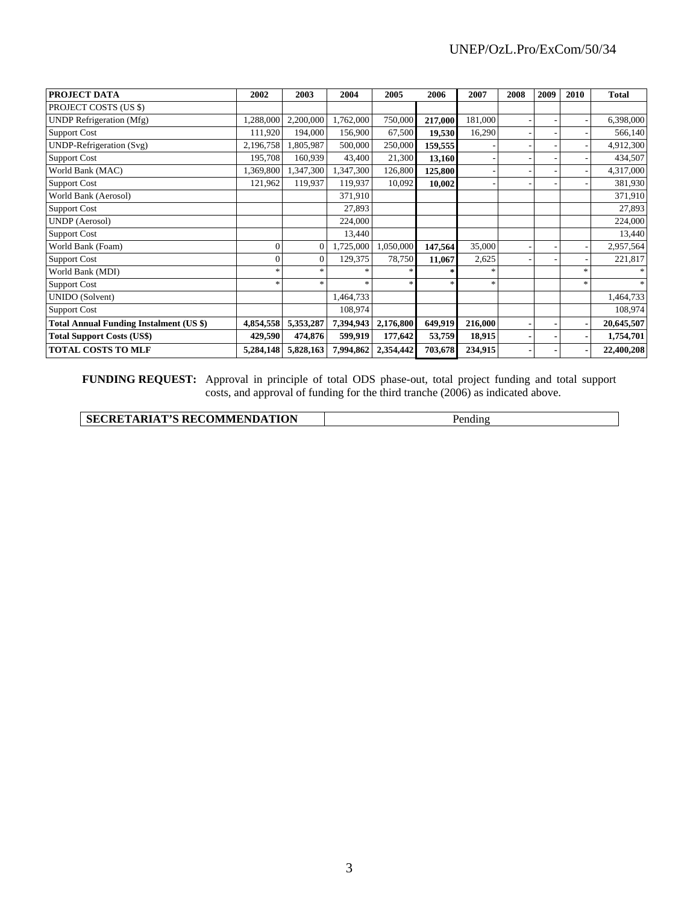| PROJECT DATA                                   | 2002           | 2003                  | 2004      | 2005      | 2006    | 2007    | 2008 | 2009 | 2010   | <b>Total</b> |
|------------------------------------------------|----------------|-----------------------|-----------|-----------|---------|---------|------|------|--------|--------------|
| PROJECT COSTS (US \$)                          |                |                       |           |           |         |         |      |      |        |              |
| <b>UNDP</b> Refrigeration (Mfg)                | 1,288,000      | 2,200,000             | 1,762,000 | 750,000   | 217,000 | 181,000 |      |      |        | 6,398,000    |
| <b>Support Cost</b>                            | 111,920        | 194,000               | 156,900   | 67,500    | 19,530  | 16,290  |      |      |        | 566,140      |
| UNDP-Refrigeration (Svg)                       | 2,196,758      | 1,805,987             | 500,000   | 250,000   | 159,555 |         |      |      |        | 4,912,300    |
| <b>Support Cost</b>                            | 195,708        | 160,939               | 43,400    | 21,300    | 13,160  |         |      |      |        | 434,507      |
| World Bank (MAC)                               | 1,369,800      | 1,347,300             | 1,347,300 | 126,800   | 125,800 |         |      |      |        | 4,317,000    |
| <b>Support Cost</b>                            | 121,962        | 119,937               | 119,937   | 10,092    | 10,002  |         |      |      |        | 381,930      |
| World Bank (Aerosol)                           |                |                       | 371,910   |           |         |         |      |      |        | 371,910      |
| <b>Support Cost</b>                            |                |                       | 27,893    |           |         |         |      |      |        | 27,893       |
| UNDP (Aerosol)                                 |                |                       | 224,000   |           |         |         |      |      |        | 224,000      |
| <b>Support Cost</b>                            |                |                       | 13,440    |           |         |         |      |      |        | 13,440       |
| World Bank (Foam)                              | $\overline{0}$ | $\Omega$              | 1,725,000 | 1,050,000 | 147,564 | 35,000  |      |      |        | 2,957,564    |
| <b>Support Cost</b>                            | 0              | $\mathbf{0}$          | 129,375   | 78,750    | 11,067  | 2,625   |      |      |        | 221,817      |
| World Bank (MDI)                               | *              | $\frac{1}{2\sqrt{3}}$ |           |           | $\star$ | $\ast$  |      |      | 冰      |              |
| <b>Support Cost</b>                            | $\ast$         | $\frac{1}{2}$         |           |           | $*$     | $\ast$  |      |      | $\ast$ | $*$          |
| <b>UNIDO</b> (Solvent)                         |                |                       | 1,464,733 |           |         |         |      |      |        | 1,464,733    |
| <b>Support Cost</b>                            |                |                       | 108,974   |           |         |         |      |      |        | 108,974      |
| <b>Total Annual Funding Instalment (US \$)</b> | 4,854,558      | 5,353,287             | 7,394,943 | 2,176,800 | 649,919 | 216,000 |      |      |        | 20,645,507   |
| <b>Total Support Costs (US\$)</b>              | 429,590        | 474,876               | 599,919   | 177,642   | 53,759  | 18,915  |      |      |        | 1,754,701    |
| <b>TOTAL COSTS TO MLF</b>                      | 5,284,148      | 5,828,163             | 7,994,862 | 2,354,442 | 703,678 | 234,915 |      |      |        | 22,400,208   |

**FUNDING REQUEST:** Approval in principle of total ODS phase-out, total project funding and total support costs, and approval of funding for the third tranche (2006) as indicated above.

| <b>TARIAT'S RECOMMENDATION</b><br><b>SECRET</b><br>____ | :11 ( 1 1 |
|---------------------------------------------------------|-----------|
|---------------------------------------------------------|-----------|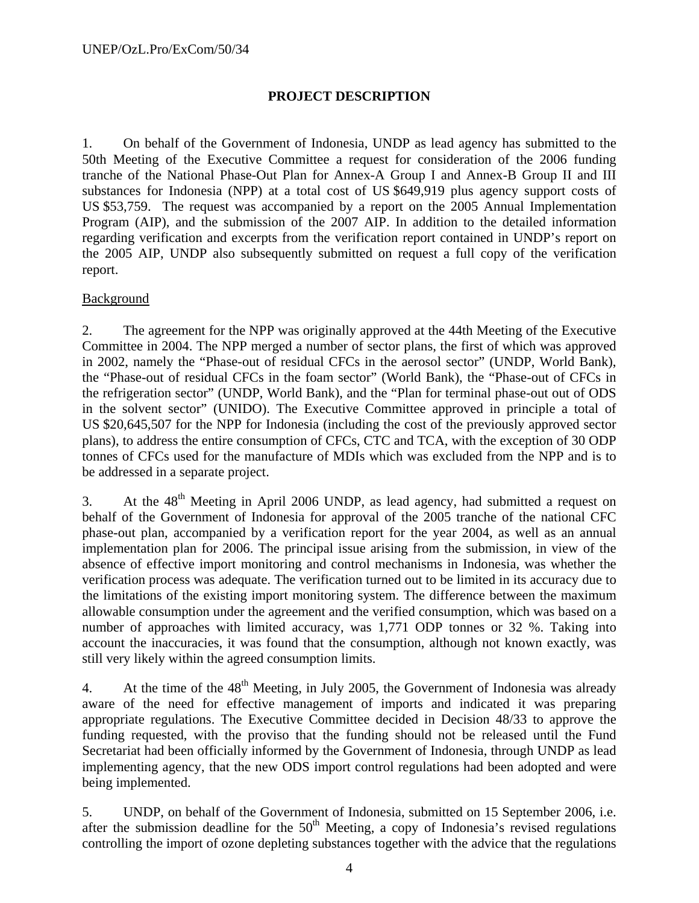# **PROJECT DESCRIPTION**

1. On behalf of the Government of Indonesia, UNDP as lead agency has submitted to the 50th Meeting of the Executive Committee a request for consideration of the 2006 funding tranche of the National Phase-Out Plan for Annex-A Group I and Annex-B Group II and III substances for Indonesia (NPP) at a total cost of US \$649,919 plus agency support costs of US \$53,759. The request was accompanied by a report on the 2005 Annual Implementation Program (AIP), and the submission of the 2007 AIP. In addition to the detailed information regarding verification and excerpts from the verification report contained in UNDP's report on the 2005 AIP, UNDP also subsequently submitted on request a full copy of the verification report.

# **Background**

2. The agreement for the NPP was originally approved at the 44th Meeting of the Executive Committee in 2004. The NPP merged a number of sector plans, the first of which was approved in 2002, namely the "Phase-out of residual CFCs in the aerosol sector" (UNDP, World Bank), the "Phase-out of residual CFCs in the foam sector" (World Bank), the "Phase-out of CFCs in the refrigeration sector" (UNDP, World Bank), and the "Plan for terminal phase-out out of ODS in the solvent sector" (UNIDO). The Executive Committee approved in principle a total of US \$20,645,507 for the NPP for Indonesia (including the cost of the previously approved sector plans), to address the entire consumption of CFCs, CTC and TCA, with the exception of 30 ODP tonnes of CFCs used for the manufacture of MDIs which was excluded from the NPP and is to be addressed in a separate project.

3. At the  $48<sup>th</sup>$  Meeting in April 2006 UNDP, as lead agency, had submitted a request on behalf of the Government of Indonesia for approval of the 2005 tranche of the national CFC phase-out plan, accompanied by a verification report for the year 2004, as well as an annual implementation plan for 2006. The principal issue arising from the submission, in view of the absence of effective import monitoring and control mechanisms in Indonesia, was whether the verification process was adequate. The verification turned out to be limited in its accuracy due to the limitations of the existing import monitoring system. The difference between the maximum allowable consumption under the agreement and the verified consumption, which was based on a number of approaches with limited accuracy, was 1,771 ODP tonnes or 32 %. Taking into account the inaccuracies, it was found that the consumption, although not known exactly, was still very likely within the agreed consumption limits.

4. At the time of the  $48<sup>th</sup>$  Meeting, in July 2005, the Government of Indonesia was already aware of the need for effective management of imports and indicated it was preparing appropriate regulations. The Executive Committee decided in Decision 48/33 to approve the funding requested, with the proviso that the funding should not be released until the Fund Secretariat had been officially informed by the Government of Indonesia, through UNDP as lead implementing agency, that the new ODS import control regulations had been adopted and were being implemented.

5. UNDP, on behalf of the Government of Indonesia, submitted on 15 September 2006, i.e. after the submission deadline for the  $50<sup>th</sup>$  Meeting, a copy of Indonesia's revised regulations controlling the import of ozone depleting substances together with the advice that the regulations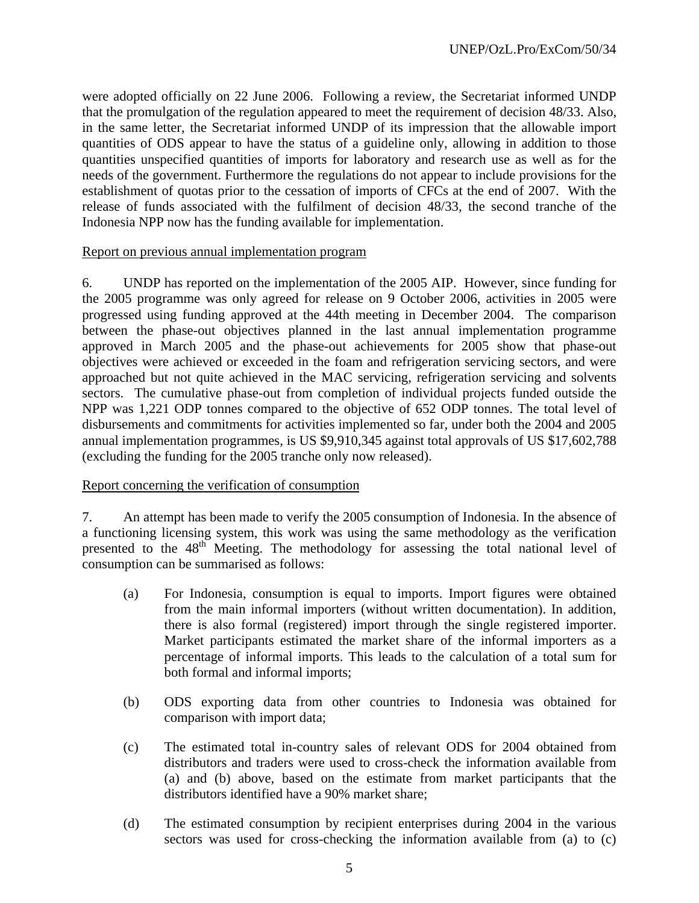were adopted officially on 22 June 2006. Following a review, the Secretariat informed UNDP that the promulgation of the regulation appeared to meet the requirement of decision 48/33. Also, in the same letter, the Secretariat informed UNDP of its impression that the allowable import quantities of ODS appear to have the status of a guideline only, allowing in addition to those quantities unspecified quantities of imports for laboratory and research use as well as for the needs of the government. Furthermore the regulations do not appear to include provisions for the establishment of quotas prior to the cessation of imports of CFCs at the end of 2007. With the release of funds associated with the fulfilment of decision 48/33, the second tranche of the Indonesia NPP now has the funding available for implementation.

### Report on previous annual implementation program

6. UNDP has reported on the implementation of the 2005 AIP. However, since funding for the 2005 programme was only agreed for release on 9 October 2006, activities in 2005 were progressed using funding approved at the 44th meeting in December 2004. The comparison between the phase-out objectives planned in the last annual implementation programme approved in March 2005 and the phase-out achievements for 2005 show that phase-out objectives were achieved or exceeded in the foam and refrigeration servicing sectors, and were approached but not quite achieved in the MAC servicing, refrigeration servicing and solvents sectors. The cumulative phase-out from completion of individual projects funded outside the NPP was 1,221 ODP tonnes compared to the objective of 652 ODP tonnes. The total level of disbursements and commitments for activities implemented so far, under both the 2004 and 2005 annual implementation programmes, is US \$9,910,345 against total approvals of US \$17,602,788 (excluding the funding for the 2005 tranche only now released).

### Report concerning the verification of consumption

7. An attempt has been made to verify the 2005 consumption of Indonesia. In the absence of a functioning licensing system, this work was using the same methodology as the verification presented to the  $48<sup>th</sup>$  Meeting. The methodology for assessing the total national level of consumption can be summarised as follows:

- (a) For Indonesia, consumption is equal to imports. Import figures were obtained from the main informal importers (without written documentation). In addition, there is also formal (registered) import through the single registered importer. Market participants estimated the market share of the informal importers as a percentage of informal imports. This leads to the calculation of a total sum for both formal and informal imports;
- (b) ODS exporting data from other countries to Indonesia was obtained for comparison with import data;
- (c) The estimated total in-country sales of relevant ODS for 2004 obtained from distributors and traders were used to cross-check the information available from (a) and (b) above, based on the estimate from market participants that the distributors identified have a 90% market share;
- (d) The estimated consumption by recipient enterprises during 2004 in the various sectors was used for cross-checking the information available from (a) to (c)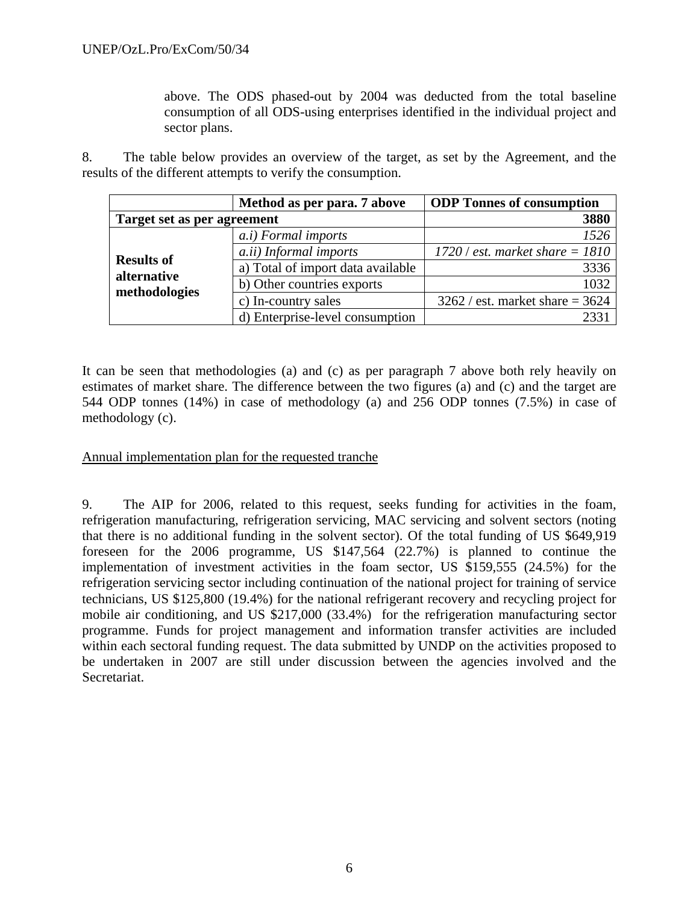above. The ODS phased-out by 2004 was deducted from the total baseline consumption of all ODS-using enterprises identified in the individual project and sector plans.

8. The table below provides an overview of the target, as set by the Agreement, and the results of the different attempts to verify the consumption.

|                                  | Method as per para. 7 above       | <b>ODP</b> Tonnes of consumption  |
|----------------------------------|-----------------------------------|-----------------------------------|
| Target set as per agreement      |                                   | 3880                              |
|                                  | <i>a.i</i> ) Formal imports       | 1526                              |
|                                  | <i>a.ii</i> ) Informal imports    | $1720$ / est. market share = 1810 |
| <b>Results of</b><br>alternative | a) Total of import data available | 3336                              |
| methodologies                    | b) Other countries exports        | 1032                              |
|                                  | c) In-country sales               | $3262 / est.$ market share = 3624 |
|                                  | d) Enterprise-level consumption   |                                   |

It can be seen that methodologies (a) and (c) as per paragraph 7 above both rely heavily on estimates of market share. The difference between the two figures (a) and (c) and the target are 544 ODP tonnes (14%) in case of methodology (a) and 256 ODP tonnes (7.5%) in case of methodology (c).

## Annual implementation plan for the requested tranche

9. The AIP for 2006, related to this request, seeks funding for activities in the foam, refrigeration manufacturing, refrigeration servicing, MAC servicing and solvent sectors (noting that there is no additional funding in the solvent sector). Of the total funding of US \$649,919 foreseen for the 2006 programme, US \$147,564 (22.7%) is planned to continue the implementation of investment activities in the foam sector, US \$159,555 (24.5%) for the refrigeration servicing sector including continuation of the national project for training of service technicians, US \$125,800 (19.4%) for the national refrigerant recovery and recycling project for mobile air conditioning, and US \$217,000 (33.4%) for the refrigeration manufacturing sector programme. Funds for project management and information transfer activities are included within each sectoral funding request. The data submitted by UNDP on the activities proposed to be undertaken in 2007 are still under discussion between the agencies involved and the Secretariat.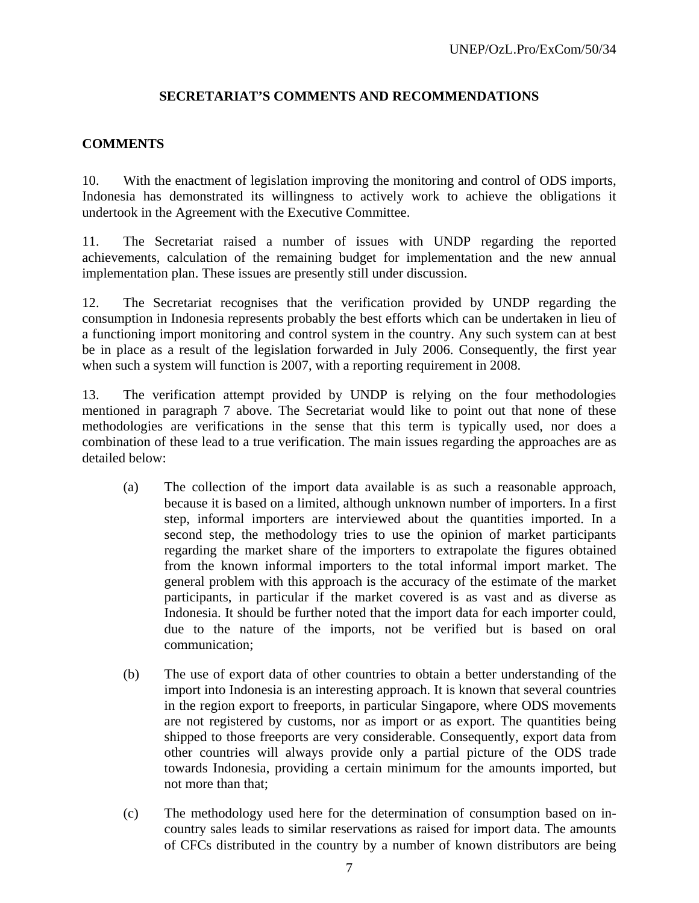# **SECRETARIAT'S COMMENTS AND RECOMMENDATIONS**

## **COMMENTS**

10. With the enactment of legislation improving the monitoring and control of ODS imports, Indonesia has demonstrated its willingness to actively work to achieve the obligations it undertook in the Agreement with the Executive Committee.

11. The Secretariat raised a number of issues with UNDP regarding the reported achievements, calculation of the remaining budget for implementation and the new annual implementation plan. These issues are presently still under discussion.

12. The Secretariat recognises that the verification provided by UNDP regarding the consumption in Indonesia represents probably the best efforts which can be undertaken in lieu of a functioning import monitoring and control system in the country. Any such system can at best be in place as a result of the legislation forwarded in July 2006. Consequently, the first year when such a system will function is 2007, with a reporting requirement in 2008.

13. The verification attempt provided by UNDP is relying on the four methodologies mentioned in paragraph 7 above. The Secretariat would like to point out that none of these methodologies are verifications in the sense that this term is typically used, nor does a combination of these lead to a true verification. The main issues regarding the approaches are as detailed below:

- (a) The collection of the import data available is as such a reasonable approach, because it is based on a limited, although unknown number of importers. In a first step, informal importers are interviewed about the quantities imported. In a second step, the methodology tries to use the opinion of market participants regarding the market share of the importers to extrapolate the figures obtained from the known informal importers to the total informal import market. The general problem with this approach is the accuracy of the estimate of the market participants, in particular if the market covered is as vast and as diverse as Indonesia. It should be further noted that the import data for each importer could, due to the nature of the imports, not be verified but is based on oral communication;
- (b) The use of export data of other countries to obtain a better understanding of the import into Indonesia is an interesting approach. It is known that several countries in the region export to freeports, in particular Singapore, where ODS movements are not registered by customs, nor as import or as export. The quantities being shipped to those freeports are very considerable. Consequently, export data from other countries will always provide only a partial picture of the ODS trade towards Indonesia, providing a certain minimum for the amounts imported, but not more than that;
- (c) The methodology used here for the determination of consumption based on incountry sales leads to similar reservations as raised for import data. The amounts of CFCs distributed in the country by a number of known distributors are being